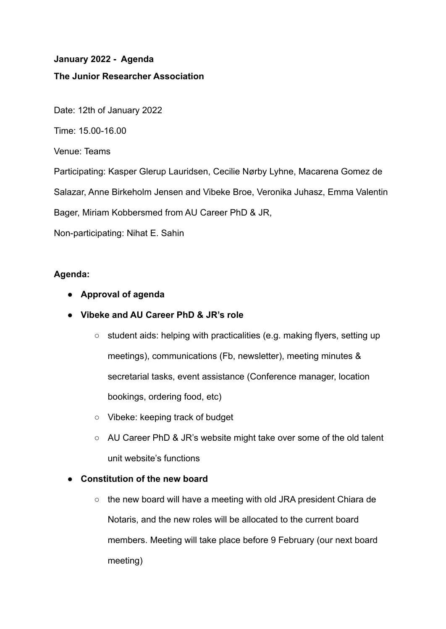# **January 2022 - Agenda The Junior Researcher Association**

Date: 12th of January 2022

Time: 15.00-16.00

Venue: Teams

Participating: Kasper Glerup Lauridsen, Cecilie Nørby Lyhne, Macarena Gomez de

Salazar, Anne Birkeholm Jensen and Vibeke Broe, Veronika Juhasz, Emma Valentin

Bager, Miriam Kobbersmed from AU Career PhD & JR,

Non-participating: Nihat E. Sahin

# **Agenda:**

- **● Approval of agenda**
- **● Vibeke and AU Career PhD & JR's role**
	- student aids: helping with practicalities (e.g. making flyers, setting up meetings), communications (Fb, newsletter), meeting minutes & secretarial tasks, event assistance (Conference manager, location bookings, ordering food, etc)
	- Vibeke: keeping track of budget
	- AU Career PhD & JR's website might take over some of the old talent unit website's functions

## **● Constitution of the new board**

 $\circ$  the new board will have a meeting with old JRA president Chiara de Notaris, and the new roles will be allocated to the current board members. Meeting will take place before 9 February (our next board meeting)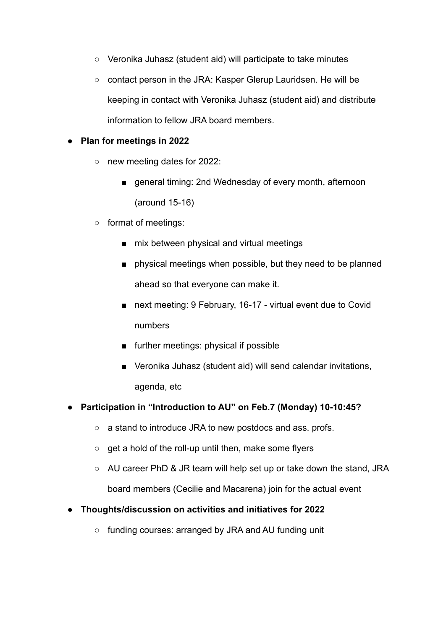- Veronika Juhasz (student aid) will participate to take minutes
- contact person in the JRA: Kasper Glerup Lauridsen. He will be keeping in contact with Veronika Juhasz (student aid) and distribute information to fellow JRA board members.

## **● Plan for meetings in 2022**

- new meeting dates for 2022:
	- general timing: 2nd Wednesday of every month, afternoon (around 15-16)
- format of meetings:
	- mix between physical and virtual meetings
	- physical meetings when possible, but they need to be planned ahead so that everyone can make it.
	- next meeting: 9 February, 16-17 virtual event due to Covid numbers
	- further meetings: physical if possible
	- Veronika Juhasz (student aid) will send calendar invitations, agenda, etc

## **● Participation in "Introduction to AU" on Feb.7 (Monday) 10-10:45?**

- a stand to introduce JRA to new postdocs and ass. profs.
- get a hold of the roll-up until then, make some flyers
- AU career PhD & JR team will help set up or take down the stand, JRA board members (Cecilie and Macarena) join for the actual event

## **● Thoughts/discussion on activities and initiatives for 2022**

○ funding courses: arranged by JRA and AU funding unit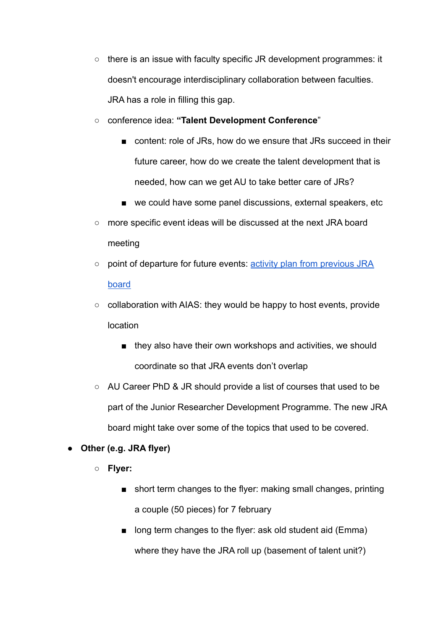**○** there is an issue with faculty specific JR development programmes: it doesn't encourage interdisciplinary collaboration between faculties. JRA has a role in filling this gap.

○ conference idea: **"Talent Development Conference**"

- content: role of JRs, how do we ensure that JRs succeed in their future career, how do we create the talent development that is needed, how can we get AU to take better care of JRs?
- we could have some panel discussions, external speakers, etc
- more specific event ideas will be discussed at the next JRA board meeting
- point of departure for future events: activity plan [from previous JRA](https://docs.google.com/spreadsheets/d/1hoODW8SklM44D2frhBZtSvaw8__jiBEz/edit#gid=1666927562) [board](https://docs.google.com/spreadsheets/d/1hoODW8SklM44D2frhBZtSvaw8__jiBEz/edit#gid=1666927562)
- collaboration with AIAS: they would be happy to host events, provide location
	- they also have their own workshops and activities, we should coordinate so that JRA events don't overlap
- AU Career PhD & JR should provide a list of courses that used to be part of the Junior Researcher Development Programme. The new JRA board might take over some of the topics that used to be covered.

# **● Other (e.g. JRA flyer)**

- **○ Flyer:**
	- short term changes to the flyer: making small changes, printing a couple (50 pieces) for 7 february
	- long term changes to the flyer: ask old student aid (Emma) where they have the JRA roll up (basement of talent unit?)